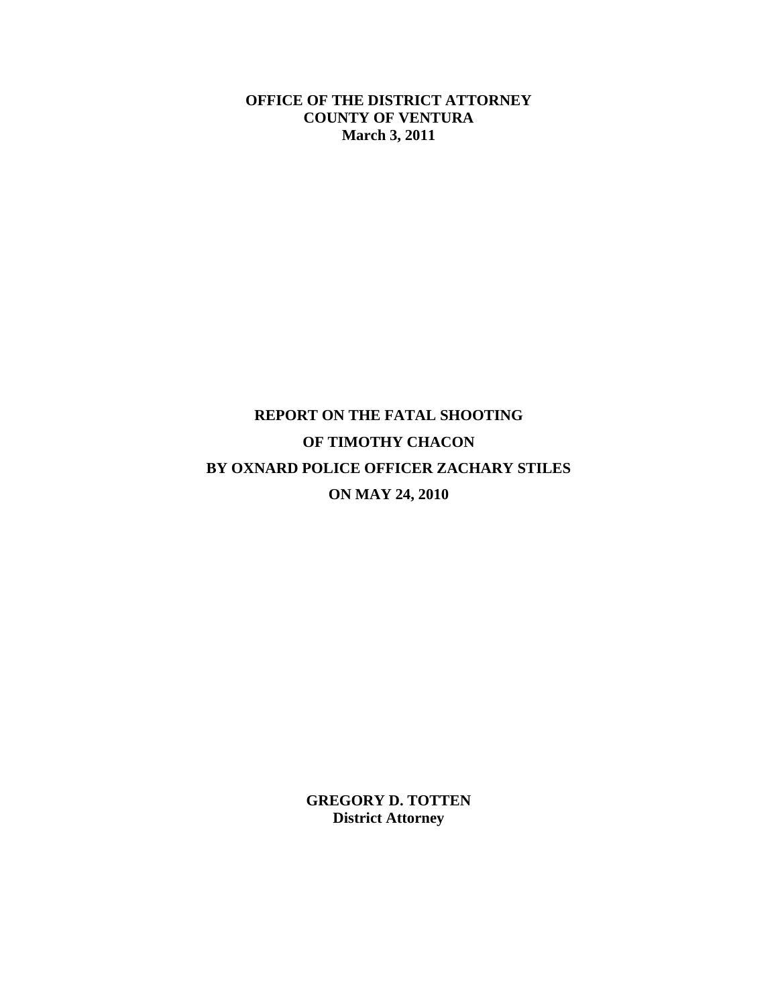**OFFICE OF THE DISTRICT ATTORNEY COUNTY OF VENTURA March 3, 2011** 

# **REPORT ON THE FATAL SHOOTING OF TIMOTHY CHACON BY OXNARD POLICE OFFICER ZACHARY STILES ON MAY 24, 2010**

**GREGORY D. TOTTEN District Attorney**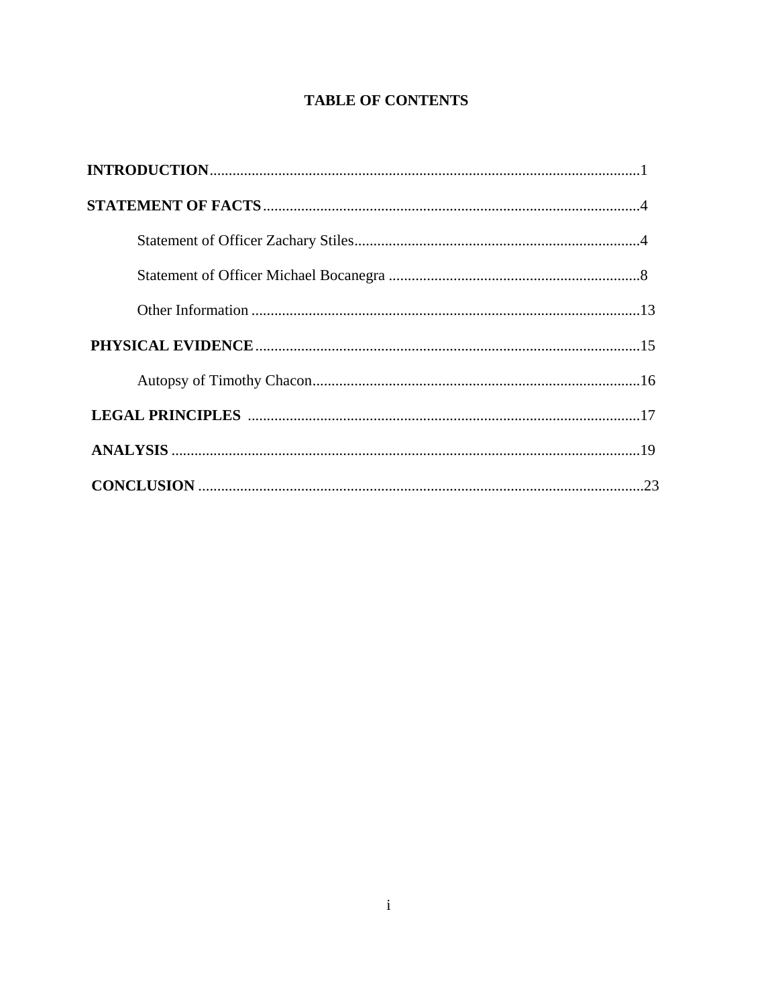## **TABLE OF CONTENTS**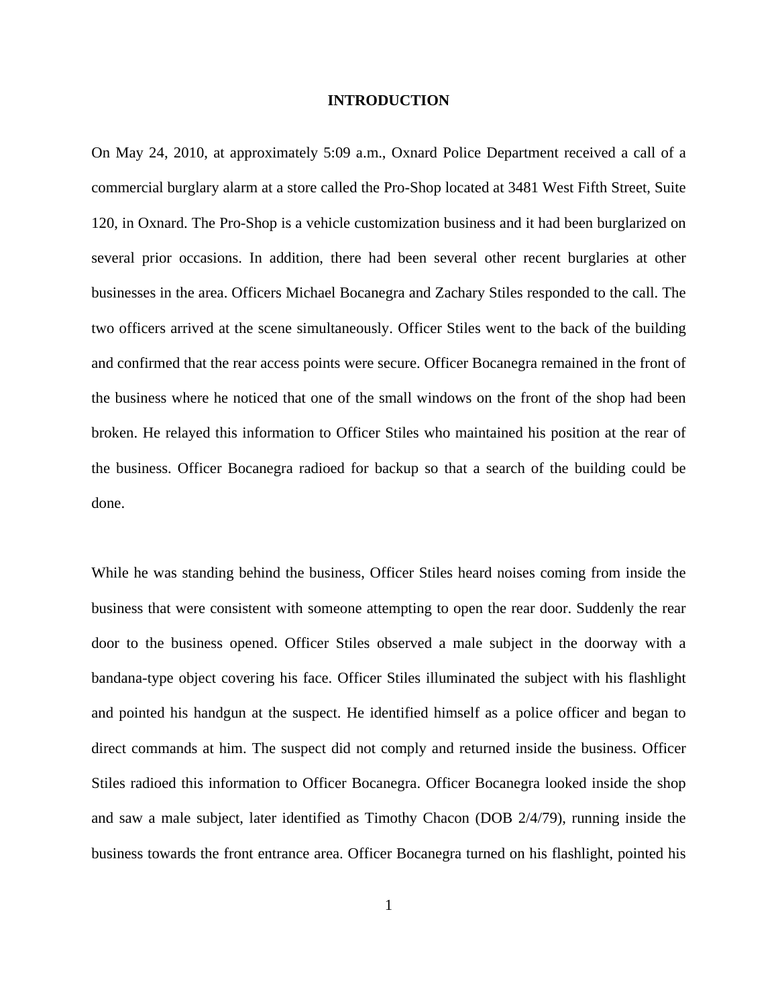#### **INTRODUCTION**

On May 24, 2010, at approximately 5:09 a.m., Oxnard Police Department received a call of a commercial burglary alarm at a store called the Pro-Shop located at 3481 West Fifth Street, Suite 120, in Oxnard. The Pro-Shop is a vehicle customization business and it had been burglarized on several prior occasions. In addition, there had been several other recent burglaries at other businesses in the area. Officers Michael Bocanegra and Zachary Stiles responded to the call. The two officers arrived at the scene simultaneously. Officer Stiles went to the back of the building and confirmed that the rear access points were secure. Officer Bocanegra remained in the front of the business where he noticed that one of the small windows on the front of the shop had been broken. He relayed this information to Officer Stiles who maintained his position at the rear of the business. Officer Bocanegra radioed for backup so that a search of the building could be done.

While he was standing behind the business, Officer Stiles heard noises coming from inside the business that were consistent with someone attempting to open the rear door. Suddenly the rear door to the business opened. Officer Stiles observed a male subject in the doorway with a bandana-type object covering his face. Officer Stiles illuminated the subject with his flashlight and pointed his handgun at the suspect. He identified himself as a police officer and began to direct commands at him. The suspect did not comply and returned inside the business. Officer Stiles radioed this information to Officer Bocanegra. Officer Bocanegra looked inside the shop and saw a male subject, later identified as Timothy Chacon (DOB 2/4/79), running inside the business towards the front entrance area. Officer Bocanegra turned on his flashlight, pointed his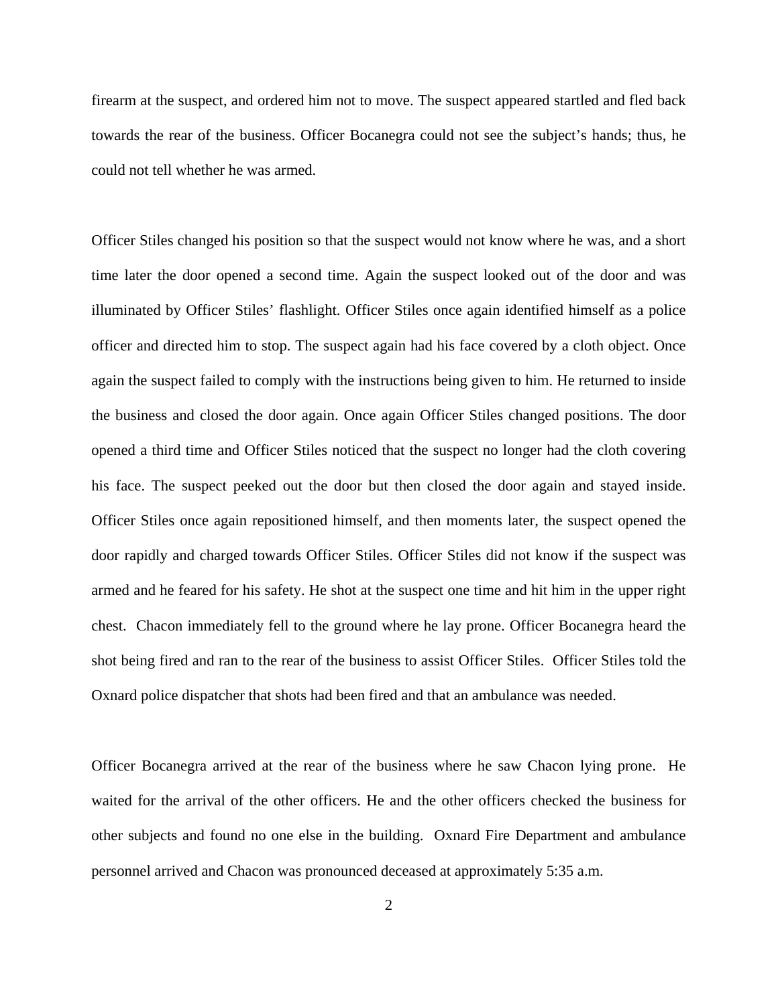firearm at the suspect, and ordered him not to move. The suspect appeared startled and fled back towards the rear of the business. Officer Bocanegra could not see the subject's hands; thus, he could not tell whether he was armed.

Officer Stiles changed his position so that the suspect would not know where he was, and a short time later the door opened a second time. Again the suspect looked out of the door and was illuminated by Officer Stiles' flashlight. Officer Stiles once again identified himself as a police officer and directed him to stop. The suspect again had his face covered by a cloth object. Once again the suspect failed to comply with the instructions being given to him. He returned to inside the business and closed the door again. Once again Officer Stiles changed positions. The door opened a third time and Officer Stiles noticed that the suspect no longer had the cloth covering his face. The suspect peeked out the door but then closed the door again and stayed inside. Officer Stiles once again repositioned himself, and then moments later, the suspect opened the door rapidly and charged towards Officer Stiles. Officer Stiles did not know if the suspect was armed and he feared for his safety. He shot at the suspect one time and hit him in the upper right chest. Chacon immediately fell to the ground where he lay prone. Officer Bocanegra heard the shot being fired and ran to the rear of the business to assist Officer Stiles. Officer Stiles told the Oxnard police dispatcher that shots had been fired and that an ambulance was needed.

Officer Bocanegra arrived at the rear of the business where he saw Chacon lying prone. He waited for the arrival of the other officers. He and the other officers checked the business for other subjects and found no one else in the building. Oxnard Fire Department and ambulance personnel arrived and Chacon was pronounced deceased at approximately 5:35 a.m.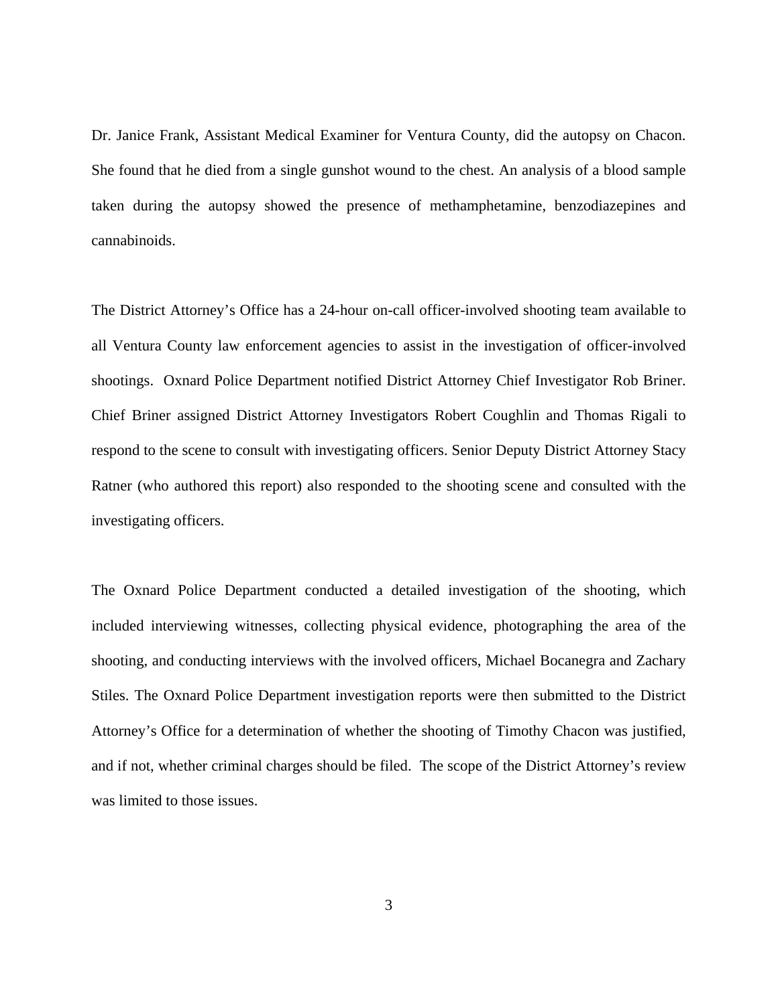Dr. Janice Frank, Assistant Medical Examiner for Ventura County, did the autopsy on Chacon. She found that he died from a single gunshot wound to the chest. An analysis of a blood sample taken during the autopsy showed the presence of methamphetamine, benzodiazepines and cannabinoids.

The District Attorney's Office has a 24-hour on-call officer-involved shooting team available to all Ventura County law enforcement agencies to assist in the investigation of officer-involved shootings. Oxnard Police Department notified District Attorney Chief Investigator Rob Briner. Chief Briner assigned District Attorney Investigators Robert Coughlin and Thomas Rigali to respond to the scene to consult with investigating officers. Senior Deputy District Attorney Stacy Ratner (who authored this report) also responded to the shooting scene and consulted with the investigating officers.

The Oxnard Police Department conducted a detailed investigation of the shooting, which included interviewing witnesses, collecting physical evidence, photographing the area of the shooting, and conducting interviews with the involved officers, Michael Bocanegra and Zachary Stiles. The Oxnard Police Department investigation reports were then submitted to the District Attorney's Office for a determination of whether the shooting of Timothy Chacon was justified, and if not, whether criminal charges should be filed. The scope of the District Attorney's review was limited to those issues.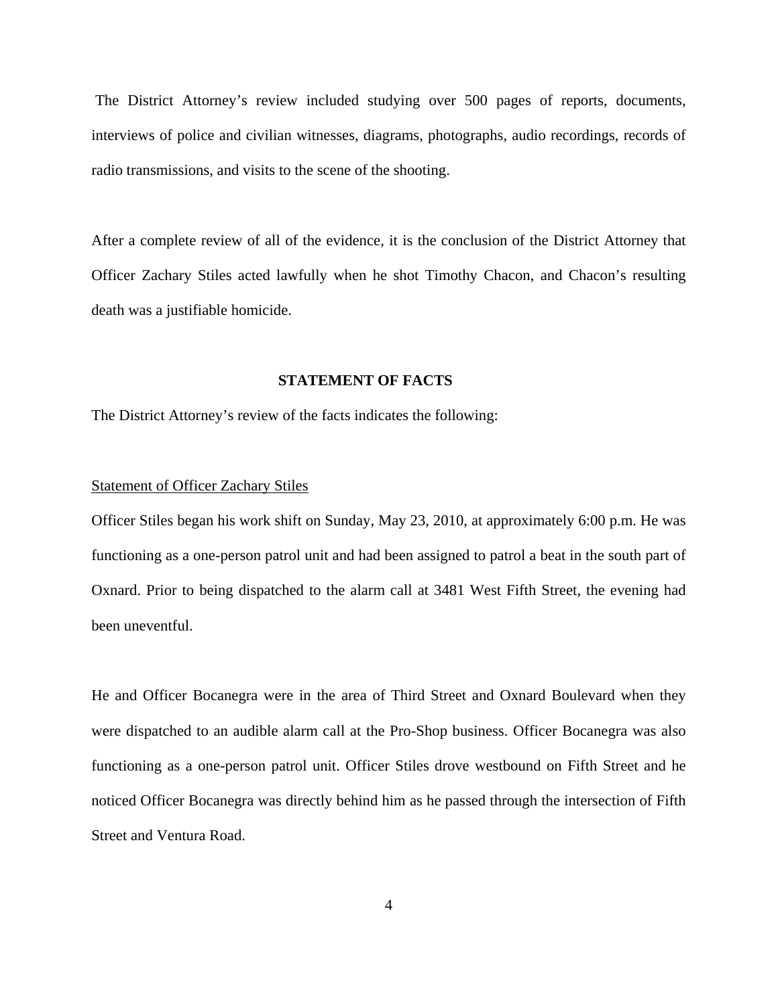The District Attorney's review included studying over 500 pages of reports, documents, interviews of police and civilian witnesses, diagrams, photographs, audio recordings, records of radio transmissions, and visits to the scene of the shooting.

After a complete review of all of the evidence, it is the conclusion of the District Attorney that Officer Zachary Stiles acted lawfully when he shot Timothy Chacon, and Chacon's resulting death was a justifiable homicide.

#### **STATEMENT OF FACTS**

The District Attorney's review of the facts indicates the following:

#### Statement of Officer Zachary Stiles

Officer Stiles began his work shift on Sunday, May 23, 2010, at approximately 6:00 p.m. He was functioning as a one-person patrol unit and had been assigned to patrol a beat in the south part of Oxnard. Prior to being dispatched to the alarm call at 3481 West Fifth Street, the evening had been uneventful.

He and Officer Bocanegra were in the area of Third Street and Oxnard Boulevard when they were dispatched to an audible alarm call at the Pro-Shop business. Officer Bocanegra was also functioning as a one-person patrol unit. Officer Stiles drove westbound on Fifth Street and he noticed Officer Bocanegra was directly behind him as he passed through the intersection of Fifth Street and Ventura Road.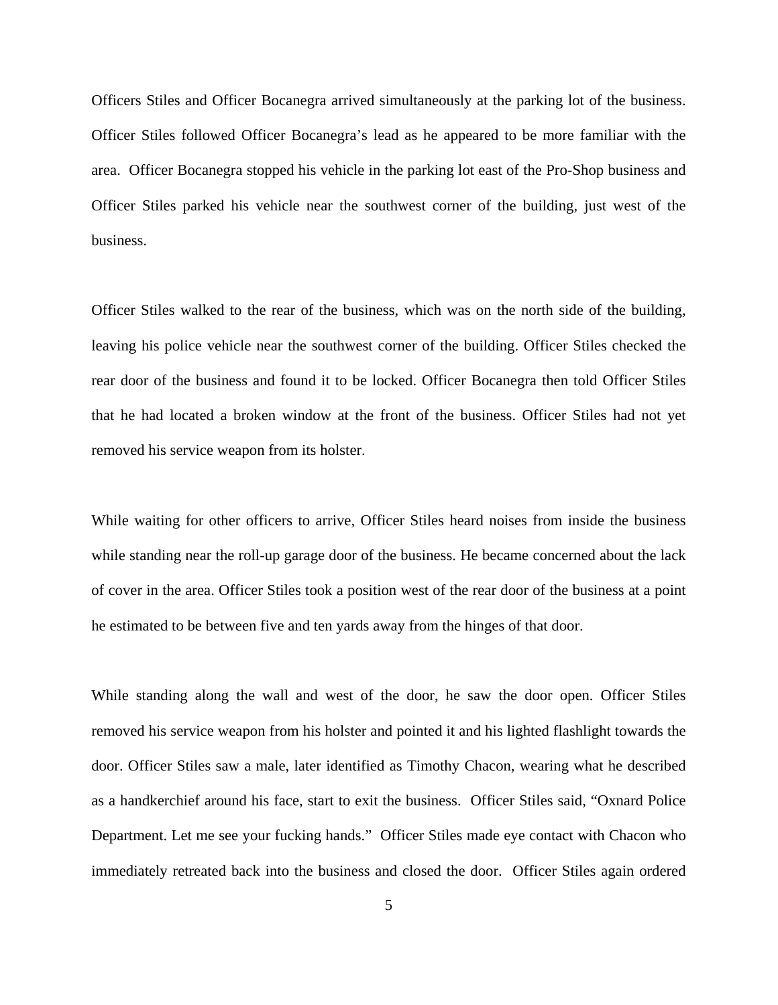Officers Stiles and Officer Bocanegra arrived simultaneously at the parking lot of the business. Officer Stiles followed Officer Bocanegra's lead as he appeared to be more familiar with the area. Officer Bocanegra stopped his vehicle in the parking lot east of the Pro-Shop business and Officer Stiles parked his vehicle near the southwest corner of the building, just west of the business.

Officer Stiles walked to the rear of the business, which was on the north side of the building, leaving his police vehicle near the southwest corner of the building. Officer Stiles checked the rear door of the business and found it to be locked. Officer Bocanegra then told Officer Stiles that he had located a broken window at the front of the business. Officer Stiles had not yet removed his service weapon from its holster.

While waiting for other officers to arrive, Officer Stiles heard noises from inside the business while standing near the roll-up garage door of the business. He became concerned about the lack of cover in the area. Officer Stiles took a position west of the rear door of the business at a point he estimated to be between five and ten yards away from the hinges of that door.

While standing along the wall and west of the door, he saw the door open. Officer Stiles removed his service weapon from his holster and pointed it and his lighted flashlight towards the door. Officer Stiles saw a male, later identified as Timothy Chacon, wearing what he described as a handkerchief around his face, start to exit the business. Officer Stiles said, "Oxnard Police Department. Let me see your fucking hands." Officer Stiles made eye contact with Chacon who immediately retreated back into the business and closed the door. Officer Stiles again ordered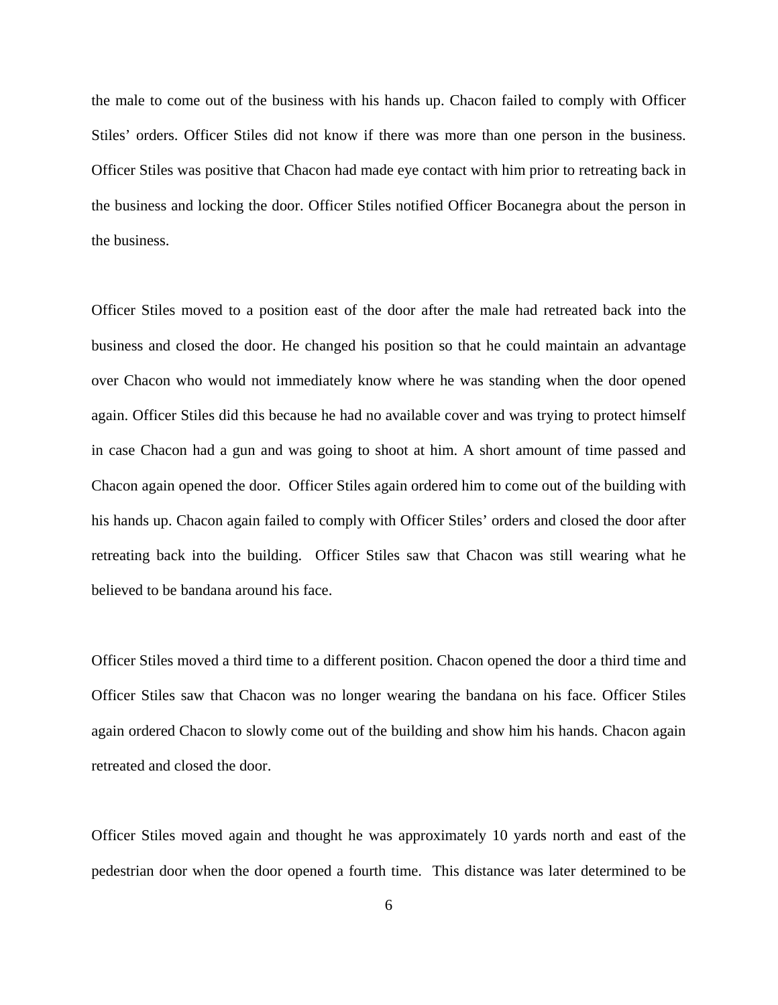the male to come out of the business with his hands up. Chacon failed to comply with Officer Stiles' orders. Officer Stiles did not know if there was more than one person in the business. Officer Stiles was positive that Chacon had made eye contact with him prior to retreating back in the business and locking the door. Officer Stiles notified Officer Bocanegra about the person in the business.

Officer Stiles moved to a position east of the door after the male had retreated back into the business and closed the door. He changed his position so that he could maintain an advantage over Chacon who would not immediately know where he was standing when the door opened again. Officer Stiles did this because he had no available cover and was trying to protect himself in case Chacon had a gun and was going to shoot at him. A short amount of time passed and Chacon again opened the door. Officer Stiles again ordered him to come out of the building with his hands up. Chacon again failed to comply with Officer Stiles' orders and closed the door after retreating back into the building. Officer Stiles saw that Chacon was still wearing what he believed to be bandana around his face.

Officer Stiles moved a third time to a different position. Chacon opened the door a third time and Officer Stiles saw that Chacon was no longer wearing the bandana on his face. Officer Stiles again ordered Chacon to slowly come out of the building and show him his hands. Chacon again retreated and closed the door.

Officer Stiles moved again and thought he was approximately 10 yards north and east of the pedestrian door when the door opened a fourth time. This distance was later determined to be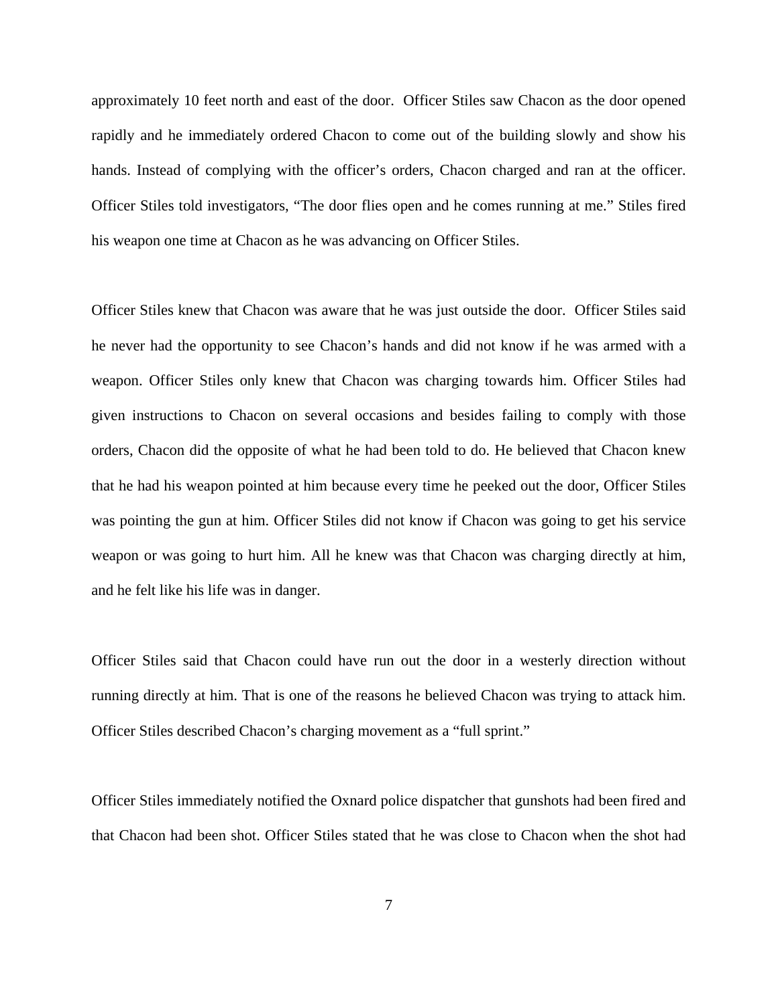approximately 10 feet north and east of the door. Officer Stiles saw Chacon as the door opened rapidly and he immediately ordered Chacon to come out of the building slowly and show his hands. Instead of complying with the officer's orders, Chacon charged and ran at the officer. Officer Stiles told investigators, "The door flies open and he comes running at me." Stiles fired his weapon one time at Chacon as he was advancing on Officer Stiles.

Officer Stiles knew that Chacon was aware that he was just outside the door. Officer Stiles said he never had the opportunity to see Chacon's hands and did not know if he was armed with a weapon. Officer Stiles only knew that Chacon was charging towards him. Officer Stiles had given instructions to Chacon on several occasions and besides failing to comply with those orders, Chacon did the opposite of what he had been told to do. He believed that Chacon knew that he had his weapon pointed at him because every time he peeked out the door, Officer Stiles was pointing the gun at him. Officer Stiles did not know if Chacon was going to get his service weapon or was going to hurt him. All he knew was that Chacon was charging directly at him, and he felt like his life was in danger.

Officer Stiles said that Chacon could have run out the door in a westerly direction without running directly at him. That is one of the reasons he believed Chacon was trying to attack him. Officer Stiles described Chacon's charging movement as a "full sprint."

Officer Stiles immediately notified the Oxnard police dispatcher that gunshots had been fired and that Chacon had been shot. Officer Stiles stated that he was close to Chacon when the shot had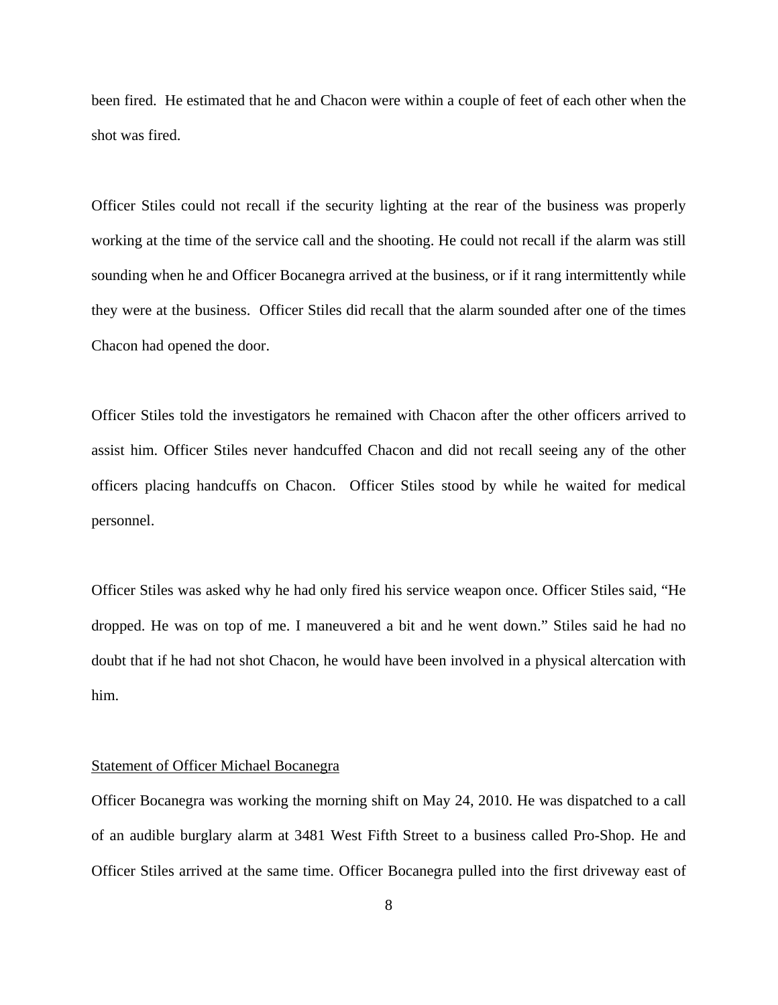been fired. He estimated that he and Chacon were within a couple of feet of each other when the shot was fired.

Officer Stiles could not recall if the security lighting at the rear of the business was properly working at the time of the service call and the shooting. He could not recall if the alarm was still sounding when he and Officer Bocanegra arrived at the business, or if it rang intermittently while they were at the business. Officer Stiles did recall that the alarm sounded after one of the times Chacon had opened the door.

Officer Stiles told the investigators he remained with Chacon after the other officers arrived to assist him. Officer Stiles never handcuffed Chacon and did not recall seeing any of the other officers placing handcuffs on Chacon. Officer Stiles stood by while he waited for medical personnel.

Officer Stiles was asked why he had only fired his service weapon once. Officer Stiles said, "He dropped. He was on top of me. I maneuvered a bit and he went down." Stiles said he had no doubt that if he had not shot Chacon, he would have been involved in a physical altercation with him.

#### Statement of Officer Michael Bocanegra

Officer Bocanegra was working the morning shift on May 24, 2010. He was dispatched to a call of an audible burglary alarm at 3481 West Fifth Street to a business called Pro-Shop. He and Officer Stiles arrived at the same time. Officer Bocanegra pulled into the first driveway east of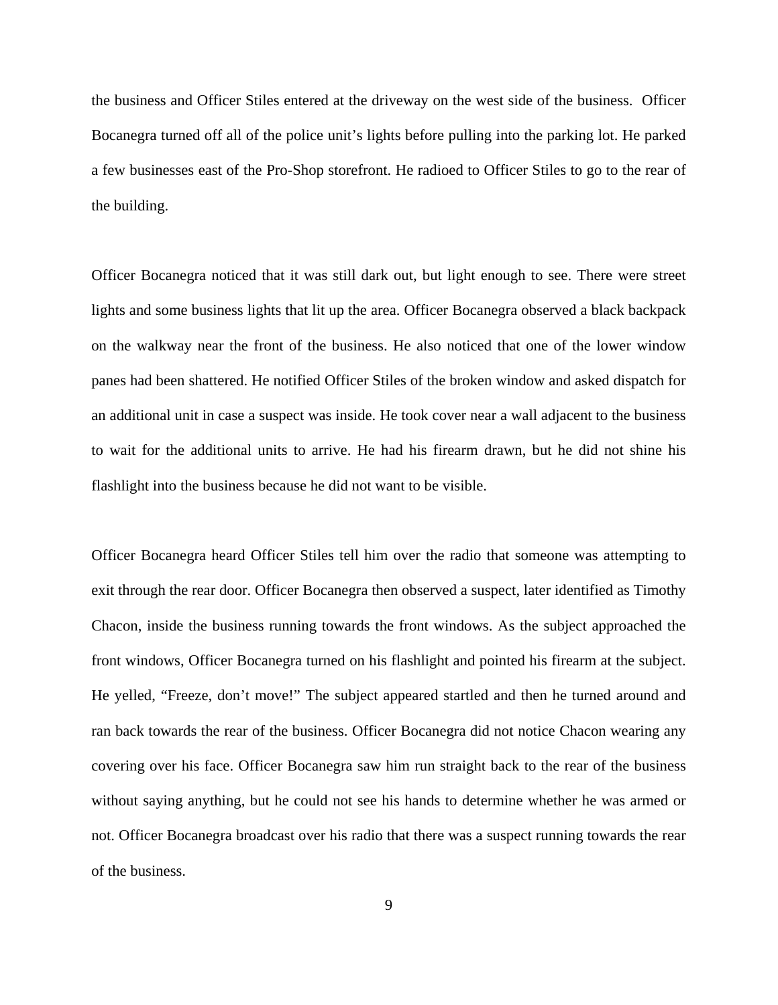the business and Officer Stiles entered at the driveway on the west side of the business. Officer Bocanegra turned off all of the police unit's lights before pulling into the parking lot. He parked a few businesses east of the Pro-Shop storefront. He radioed to Officer Stiles to go to the rear of the building.

Officer Bocanegra noticed that it was still dark out, but light enough to see. There were street lights and some business lights that lit up the area. Officer Bocanegra observed a black backpack on the walkway near the front of the business. He also noticed that one of the lower window panes had been shattered. He notified Officer Stiles of the broken window and asked dispatch for an additional unit in case a suspect was inside. He took cover near a wall adjacent to the business to wait for the additional units to arrive. He had his firearm drawn, but he did not shine his flashlight into the business because he did not want to be visible.

Officer Bocanegra heard Officer Stiles tell him over the radio that someone was attempting to exit through the rear door. Officer Bocanegra then observed a suspect, later identified as Timothy Chacon, inside the business running towards the front windows. As the subject approached the front windows, Officer Bocanegra turned on his flashlight and pointed his firearm at the subject. He yelled, "Freeze, don't move!" The subject appeared startled and then he turned around and ran back towards the rear of the business. Officer Bocanegra did not notice Chacon wearing any covering over his face. Officer Bocanegra saw him run straight back to the rear of the business without saying anything, but he could not see his hands to determine whether he was armed or not. Officer Bocanegra broadcast over his radio that there was a suspect running towards the rear of the business.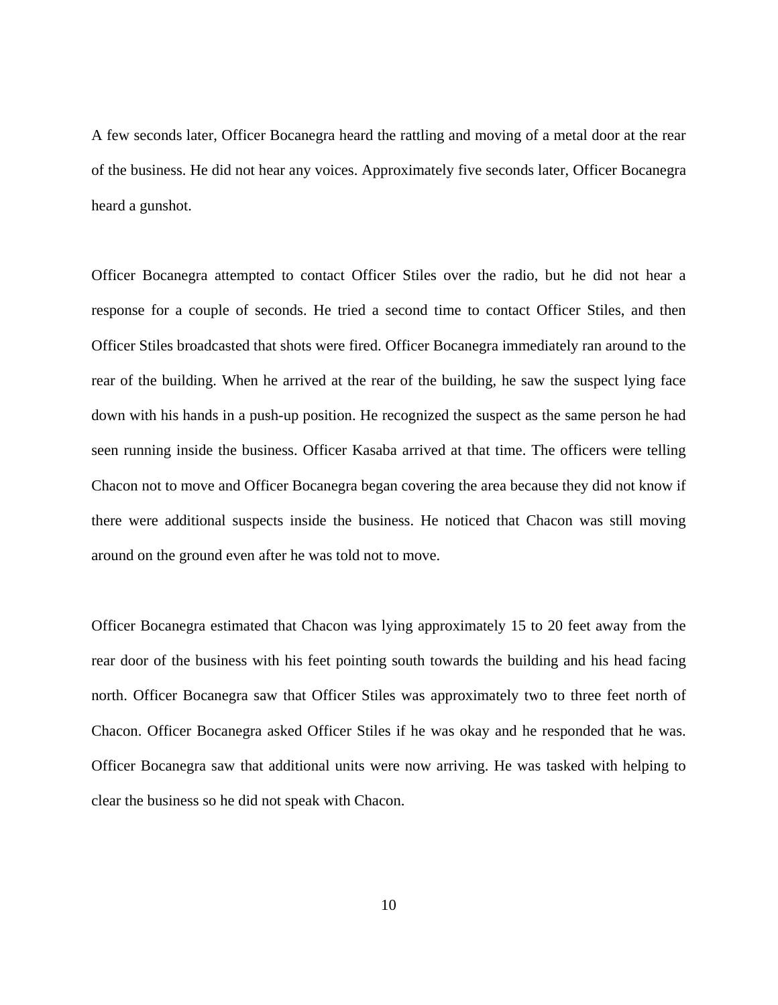A few seconds later, Officer Bocanegra heard the rattling and moving of a metal door at the rear of the business. He did not hear any voices. Approximately five seconds later, Officer Bocanegra heard a gunshot.

Officer Bocanegra attempted to contact Officer Stiles over the radio, but he did not hear a response for a couple of seconds. He tried a second time to contact Officer Stiles, and then Officer Stiles broadcasted that shots were fired. Officer Bocanegra immediately ran around to the rear of the building. When he arrived at the rear of the building, he saw the suspect lying face down with his hands in a push-up position. He recognized the suspect as the same person he had seen running inside the business. Officer Kasaba arrived at that time. The officers were telling Chacon not to move and Officer Bocanegra began covering the area because they did not know if there were additional suspects inside the business. He noticed that Chacon was still moving around on the ground even after he was told not to move.

Officer Bocanegra estimated that Chacon was lying approximately 15 to 20 feet away from the rear door of the business with his feet pointing south towards the building and his head facing north. Officer Bocanegra saw that Officer Stiles was approximately two to three feet north of Chacon. Officer Bocanegra asked Officer Stiles if he was okay and he responded that he was. Officer Bocanegra saw that additional units were now arriving. He was tasked with helping to clear the business so he did not speak with Chacon.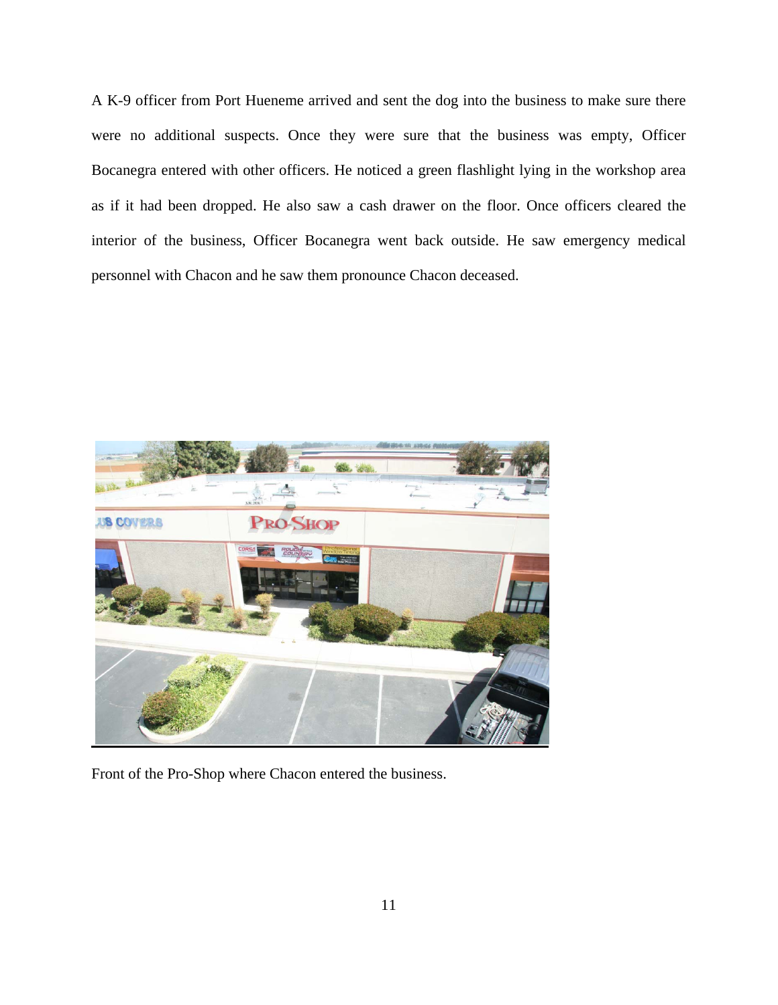A K-9 officer from Port Hueneme arrived and sent the dog into the business to make sure there were no additional suspects. Once they were sure that the business was empty, Officer Bocanegra entered with other officers. He noticed a green flashlight lying in the workshop area as if it had been dropped. He also saw a cash drawer on the floor. Once officers cleared the interior of the business, Officer Bocanegra went back outside. He saw emergency medical personnel with Chacon and he saw them pronounce Chacon deceased.



Front of the Pro-Shop where Chacon entered the business.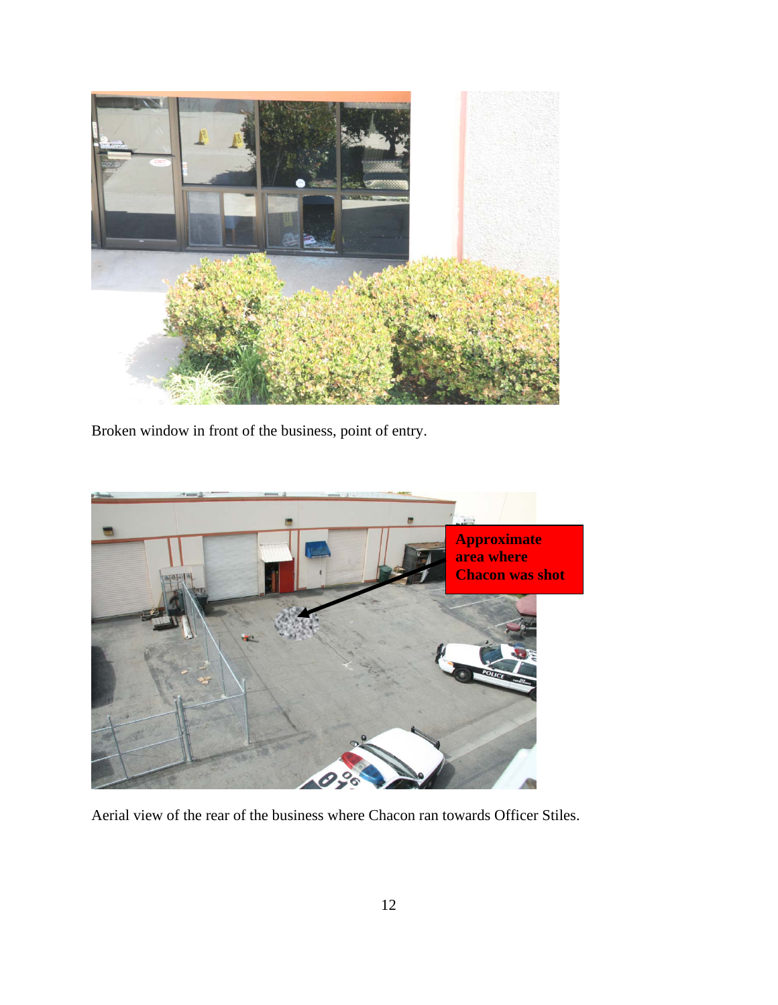

Broken window in front of the business, point of entry.



Aerial view of the rear of the business where Chacon ran towards Officer Stiles.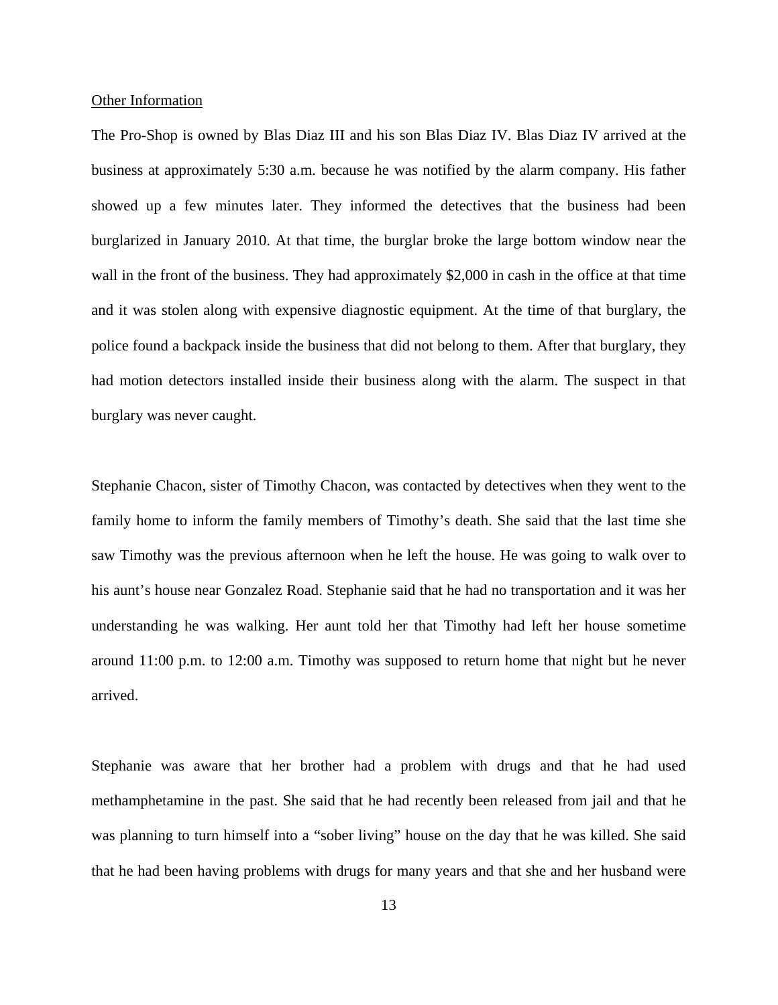#### Other Information

The Pro-Shop is owned by Blas Diaz III and his son Blas Diaz IV. Blas Diaz IV arrived at the business at approximately 5:30 a.m. because he was notified by the alarm company. His father showed up a few minutes later. They informed the detectives that the business had been burglarized in January 2010. At that time, the burglar broke the large bottom window near the wall in the front of the business. They had approximately \$2,000 in cash in the office at that time and it was stolen along with expensive diagnostic equipment. At the time of that burglary, the police found a backpack inside the business that did not belong to them. After that burglary, they had motion detectors installed inside their business along with the alarm. The suspect in that burglary was never caught.

Stephanie Chacon, sister of Timothy Chacon, was contacted by detectives when they went to the family home to inform the family members of Timothy's death. She said that the last time she saw Timothy was the previous afternoon when he left the house. He was going to walk over to his aunt's house near Gonzalez Road. Stephanie said that he had no transportation and it was her understanding he was walking. Her aunt told her that Timothy had left her house sometime around 11:00 p.m. to 12:00 a.m. Timothy was supposed to return home that night but he never arrived.

Stephanie was aware that her brother had a problem with drugs and that he had used methamphetamine in the past. She said that he had recently been released from jail and that he was planning to turn himself into a "sober living" house on the day that he was killed. She said that he had been having problems with drugs for many years and that she and her husband were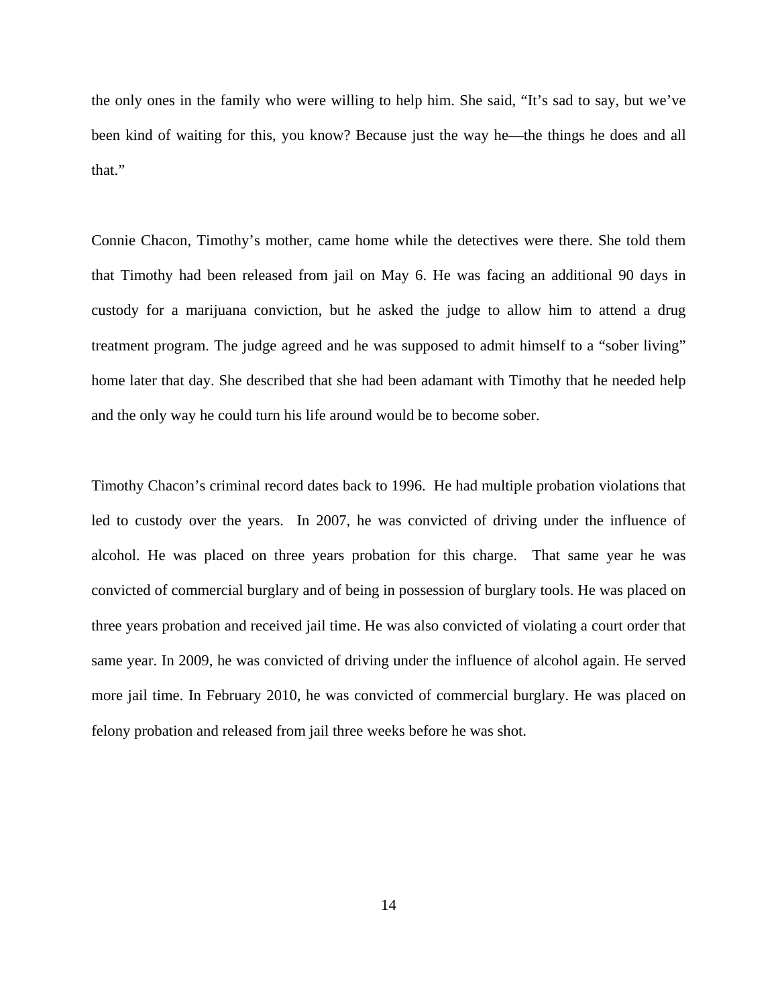the only ones in the family who were willing to help him. She said, "It's sad to say, but we've been kind of waiting for this, you know? Because just the way he—the things he does and all that."

Connie Chacon, Timothy's mother, came home while the detectives were there. She told them that Timothy had been released from jail on May 6. He was facing an additional 90 days in custody for a marijuana conviction, but he asked the judge to allow him to attend a drug treatment program. The judge agreed and he was supposed to admit himself to a "sober living" home later that day. She described that she had been adamant with Timothy that he needed help and the only way he could turn his life around would be to become sober.

Timothy Chacon's criminal record dates back to 1996. He had multiple probation violations that led to custody over the years. In 2007, he was convicted of driving under the influence of alcohol. He was placed on three years probation for this charge. That same year he was convicted of commercial burglary and of being in possession of burglary tools. He was placed on three years probation and received jail time. He was also convicted of violating a court order that same year. In 2009, he was convicted of driving under the influence of alcohol again. He served more jail time. In February 2010, he was convicted of commercial burglary. He was placed on felony probation and released from jail three weeks before he was shot.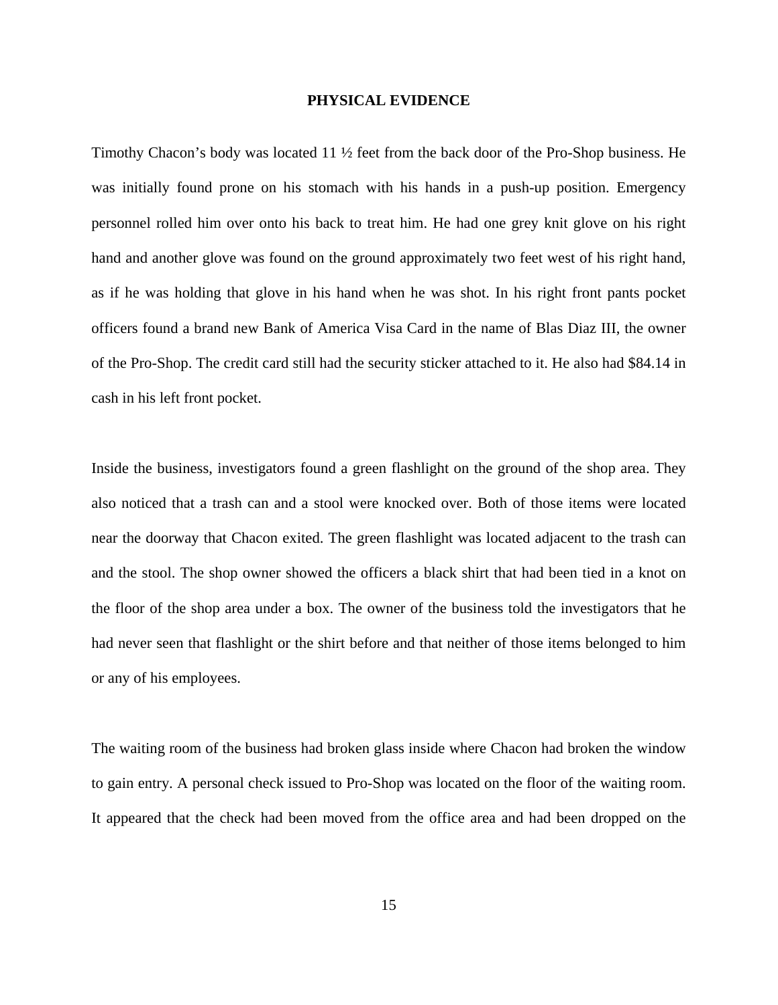#### **PHYSICAL EVIDENCE**

Timothy Chacon's body was located 11 ½ feet from the back door of the Pro-Shop business. He was initially found prone on his stomach with his hands in a push-up position. Emergency personnel rolled him over onto his back to treat him. He had one grey knit glove on his right hand and another glove was found on the ground approximately two feet west of his right hand, as if he was holding that glove in his hand when he was shot. In his right front pants pocket officers found a brand new Bank of America Visa Card in the name of Blas Diaz III, the owner of the Pro-Shop. The credit card still had the security sticker attached to it. He also had \$84.14 in cash in his left front pocket.

Inside the business, investigators found a green flashlight on the ground of the shop area. They also noticed that a trash can and a stool were knocked over. Both of those items were located near the doorway that Chacon exited. The green flashlight was located adjacent to the trash can and the stool. The shop owner showed the officers a black shirt that had been tied in a knot on the floor of the shop area under a box. The owner of the business told the investigators that he had never seen that flashlight or the shirt before and that neither of those items belonged to him or any of his employees.

The waiting room of the business had broken glass inside where Chacon had broken the window to gain entry. A personal check issued to Pro-Shop was located on the floor of the waiting room. It appeared that the check had been moved from the office area and had been dropped on the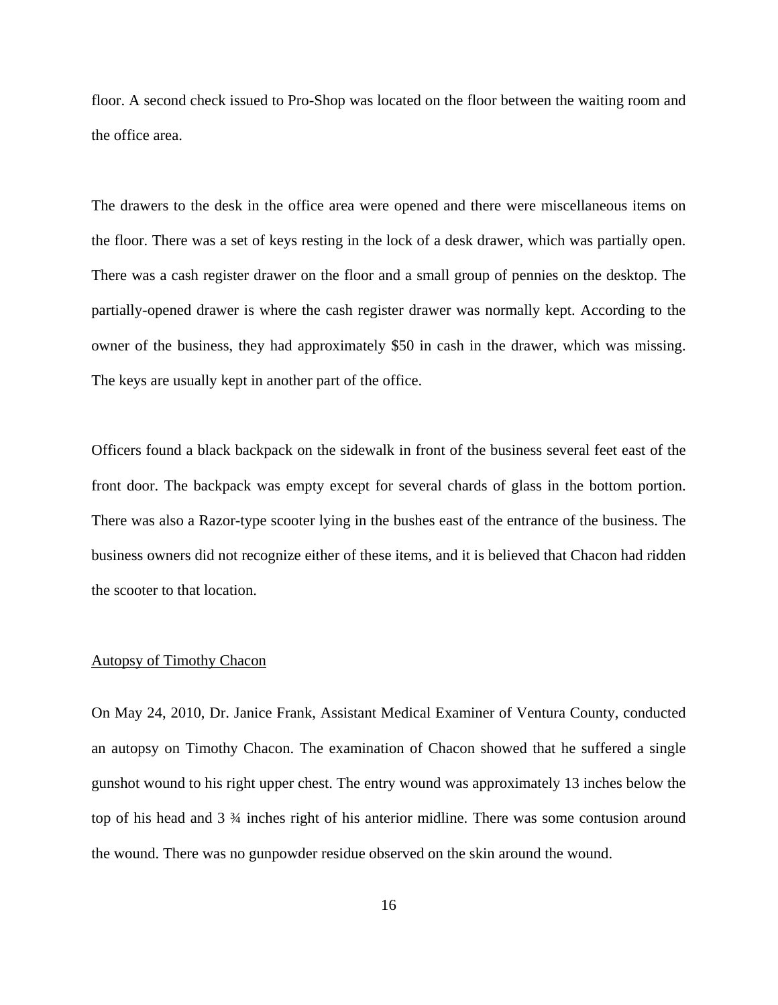floor. A second check issued to Pro-Shop was located on the floor between the waiting room and the office area.

The drawers to the desk in the office area were opened and there were miscellaneous items on the floor. There was a set of keys resting in the lock of a desk drawer, which was partially open. There was a cash register drawer on the floor and a small group of pennies on the desktop. The partially-opened drawer is where the cash register drawer was normally kept. According to the owner of the business, they had approximately \$50 in cash in the drawer, which was missing. The keys are usually kept in another part of the office.

Officers found a black backpack on the sidewalk in front of the business several feet east of the front door. The backpack was empty except for several chards of glass in the bottom portion. There was also a Razor-type scooter lying in the bushes east of the entrance of the business. The business owners did not recognize either of these items, and it is believed that Chacon had ridden the scooter to that location.

#### Autopsy of Timothy Chacon

On May 24, 2010, Dr. Janice Frank, Assistant Medical Examiner of Ventura County, conducted an autopsy on Timothy Chacon. The examination of Chacon showed that he suffered a single gunshot wound to his right upper chest. The entry wound was approximately 13 inches below the top of his head and 3 ¾ inches right of his anterior midline. There was some contusion around the wound. There was no gunpowder residue observed on the skin around the wound.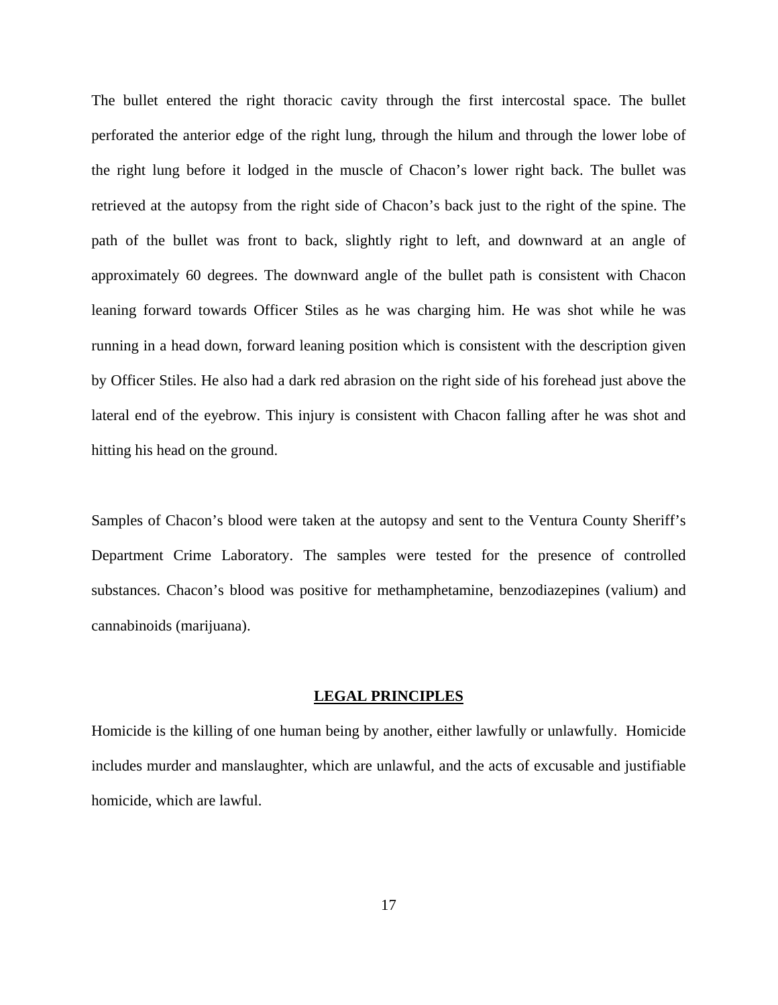The bullet entered the right thoracic cavity through the first intercostal space. The bullet perforated the anterior edge of the right lung, through the hilum and through the lower lobe of the right lung before it lodged in the muscle of Chacon's lower right back. The bullet was retrieved at the autopsy from the right side of Chacon's back just to the right of the spine. The path of the bullet was front to back, slightly right to left, and downward at an angle of approximately 60 degrees. The downward angle of the bullet path is consistent with Chacon leaning forward towards Officer Stiles as he was charging him. He was shot while he was running in a head down, forward leaning position which is consistent with the description given by Officer Stiles. He also had a dark red abrasion on the right side of his forehead just above the lateral end of the eyebrow. This injury is consistent with Chacon falling after he was shot and hitting his head on the ground.

Samples of Chacon's blood were taken at the autopsy and sent to the Ventura County Sheriff's Department Crime Laboratory. The samples were tested for the presence of controlled substances. Chacon's blood was positive for methamphetamine, benzodiazepines (valium) and cannabinoids (marijuana).

#### **LEGAL PRINCIPLES**

Homicide is the killing of one human being by another, either lawfully or unlawfully. Homicide includes murder and manslaughter, which are unlawful, and the acts of excusable and justifiable homicide, which are lawful.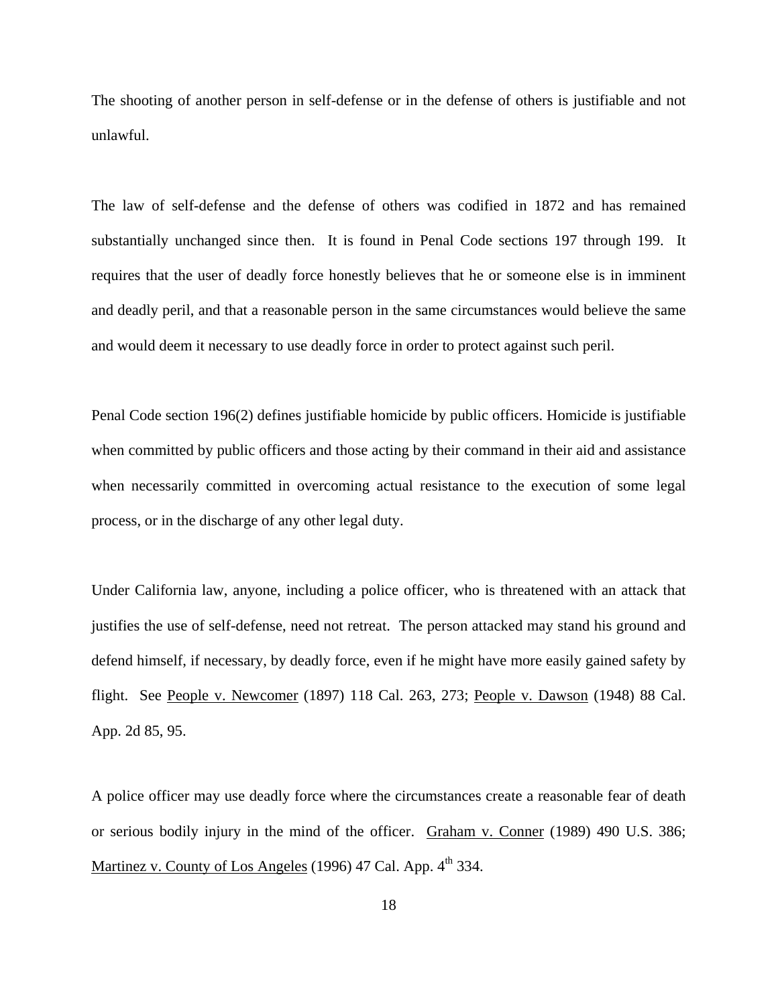The shooting of another person in self-defense or in the defense of others is justifiable and not unlawful.

The law of self-defense and the defense of others was codified in 1872 and has remained substantially unchanged since then. It is found in Penal Code sections 197 through 199. It requires that the user of deadly force honestly believes that he or someone else is in imminent and deadly peril, and that a reasonable person in the same circumstances would believe the same and would deem it necessary to use deadly force in order to protect against such peril.

Penal Code section 196(2) defines justifiable homicide by public officers. Homicide is justifiable when committed by public officers and those acting by their command in their aid and assistance when necessarily committed in overcoming actual resistance to the execution of some legal process, or in the discharge of any other legal duty.

Under California law, anyone, including a police officer, who is threatened with an attack that justifies the use of self-defense, need not retreat. The person attacked may stand his ground and defend himself, if necessary, by deadly force, even if he might have more easily gained safety by flight. See People v. Newcomer (1897) 118 Cal. 263, 273; People v. Dawson (1948) 88 Cal. App. 2d 85, 95.

A police officer may use deadly force where the circumstances create a reasonable fear of death or serious bodily injury in the mind of the officer. Graham v. Conner (1989) 490 U.S. 386; Martinez v. County of Los Angeles (1996) 47 Cal. App.  $4<sup>th</sup>$  334.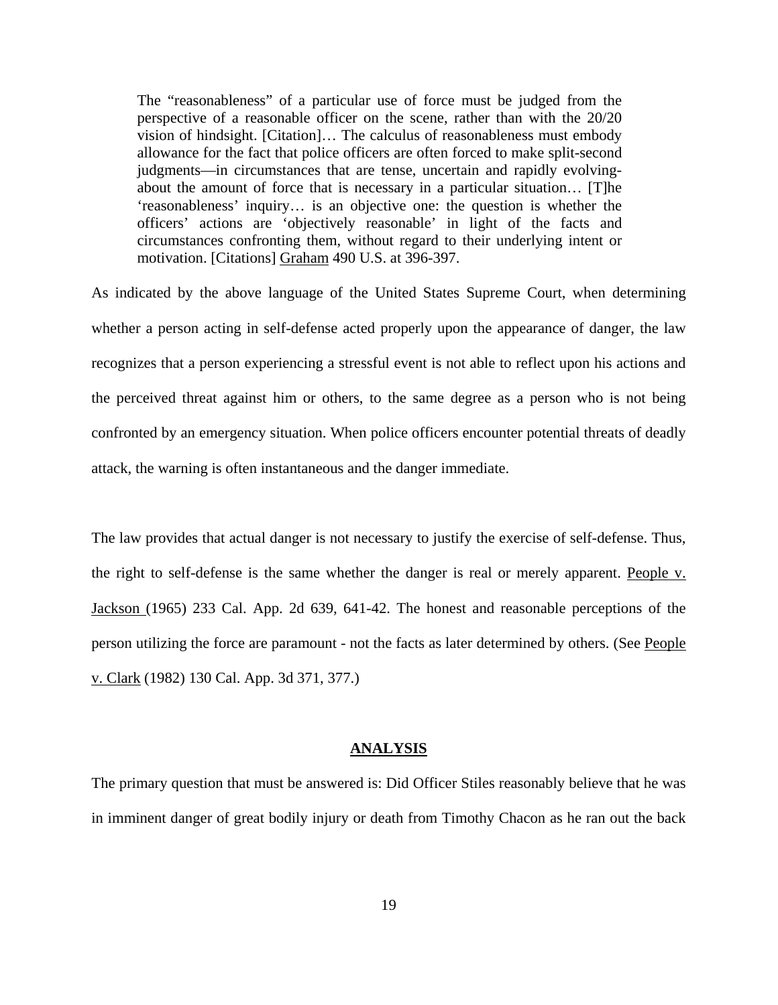The "reasonableness" of a particular use of force must be judged from the perspective of a reasonable officer on the scene, rather than with the 20/20 vision of hindsight. [Citation]… The calculus of reasonableness must embody allowance for the fact that police officers are often forced to make split-second judgments—in circumstances that are tense, uncertain and rapidly evolvingabout the amount of force that is necessary in a particular situation… [T]he 'reasonableness' inquiry… is an objective one: the question is whether the officers' actions are 'objectively reasonable' in light of the facts and circumstances confronting them, without regard to their underlying intent or motivation. [Citations] Graham 490 U.S. at 396-397.

As indicated by the above language of the United States Supreme Court, when determining whether a person acting in self-defense acted properly upon the appearance of danger, the law recognizes that a person experiencing a stressful event is not able to reflect upon his actions and the perceived threat against him or others, to the same degree as a person who is not being confronted by an emergency situation. When police officers encounter potential threats of deadly attack, the warning is often instantaneous and the danger immediate.

The law provides that actual danger is not necessary to justify the exercise of self-defense. Thus, the right to self-defense is the same whether the danger is real or merely apparent. People v. Jackson (1965) 233 Cal. App. 2d 639, 641-42. The honest and reasonable perceptions of the person utilizing the force are paramount - not the facts as later determined by others. (See People v. Clark (1982) 130 Cal. App. 3d 371, 377.)

#### **ANALYSIS**

The primary question that must be answered is: Did Officer Stiles reasonably believe that he was in imminent danger of great bodily injury or death from Timothy Chacon as he ran out the back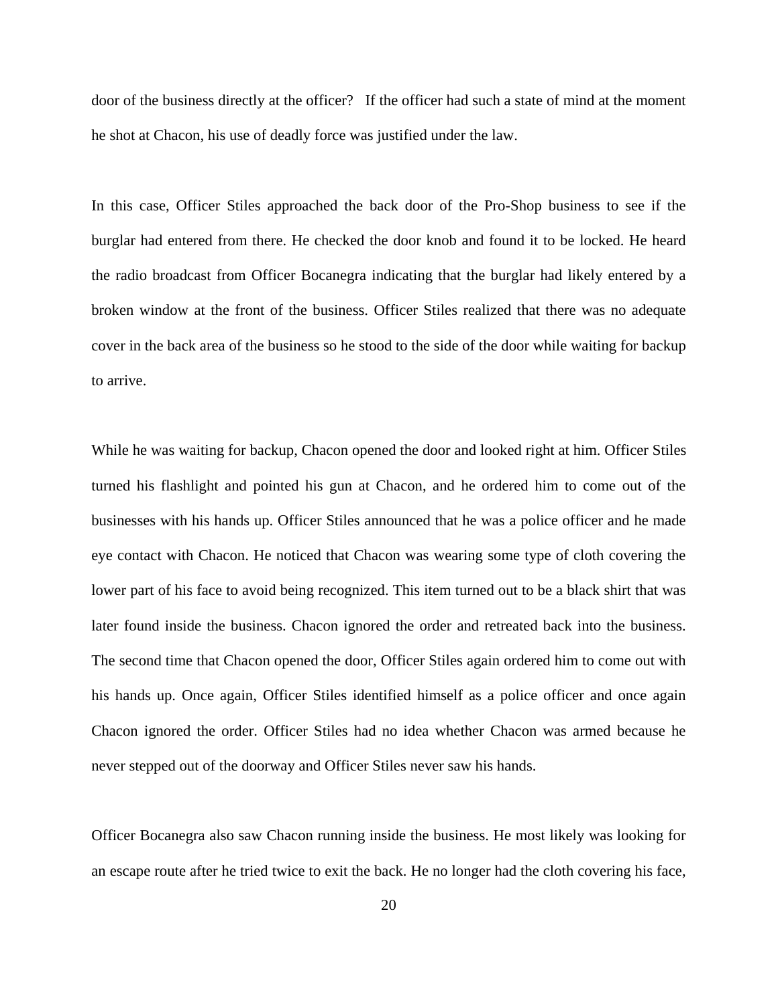door of the business directly at the officer? If the officer had such a state of mind at the moment he shot at Chacon, his use of deadly force was justified under the law.

In this case, Officer Stiles approached the back door of the Pro-Shop business to see if the burglar had entered from there. He checked the door knob and found it to be locked. He heard the radio broadcast from Officer Bocanegra indicating that the burglar had likely entered by a broken window at the front of the business. Officer Stiles realized that there was no adequate cover in the back area of the business so he stood to the side of the door while waiting for backup to arrive.

While he was waiting for backup, Chacon opened the door and looked right at him. Officer Stiles turned his flashlight and pointed his gun at Chacon, and he ordered him to come out of the businesses with his hands up. Officer Stiles announced that he was a police officer and he made eye contact with Chacon. He noticed that Chacon was wearing some type of cloth covering the lower part of his face to avoid being recognized. This item turned out to be a black shirt that was later found inside the business. Chacon ignored the order and retreated back into the business. The second time that Chacon opened the door, Officer Stiles again ordered him to come out with his hands up. Once again, Officer Stiles identified himself as a police officer and once again Chacon ignored the order. Officer Stiles had no idea whether Chacon was armed because he never stepped out of the doorway and Officer Stiles never saw his hands.

Officer Bocanegra also saw Chacon running inside the business. He most likely was looking for an escape route after he tried twice to exit the back. He no longer had the cloth covering his face,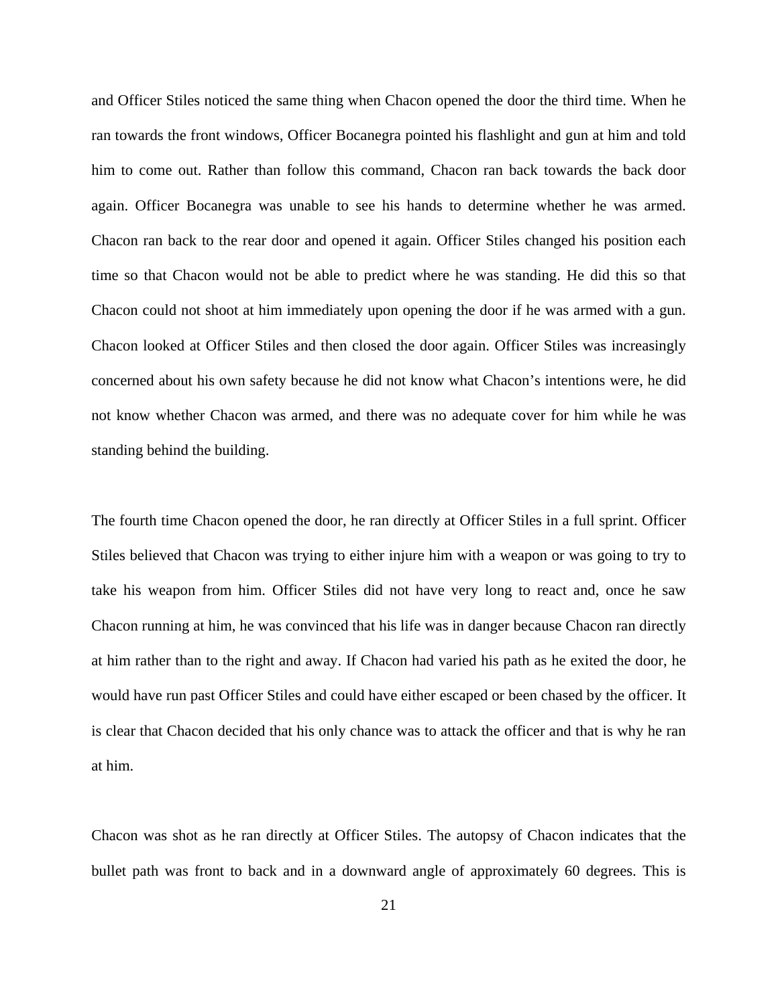and Officer Stiles noticed the same thing when Chacon opened the door the third time. When he ran towards the front windows, Officer Bocanegra pointed his flashlight and gun at him and told him to come out. Rather than follow this command, Chacon ran back towards the back door again. Officer Bocanegra was unable to see his hands to determine whether he was armed. Chacon ran back to the rear door and opened it again. Officer Stiles changed his position each time so that Chacon would not be able to predict where he was standing. He did this so that Chacon could not shoot at him immediately upon opening the door if he was armed with a gun. Chacon looked at Officer Stiles and then closed the door again. Officer Stiles was increasingly concerned about his own safety because he did not know what Chacon's intentions were, he did not know whether Chacon was armed, and there was no adequate cover for him while he was standing behind the building.

The fourth time Chacon opened the door, he ran directly at Officer Stiles in a full sprint. Officer Stiles believed that Chacon was trying to either injure him with a weapon or was going to try to take his weapon from him. Officer Stiles did not have very long to react and, once he saw Chacon running at him, he was convinced that his life was in danger because Chacon ran directly at him rather than to the right and away. If Chacon had varied his path as he exited the door, he would have run past Officer Stiles and could have either escaped or been chased by the officer. It is clear that Chacon decided that his only chance was to attack the officer and that is why he ran at him.

Chacon was shot as he ran directly at Officer Stiles. The autopsy of Chacon indicates that the bullet path was front to back and in a downward angle of approximately 60 degrees. This is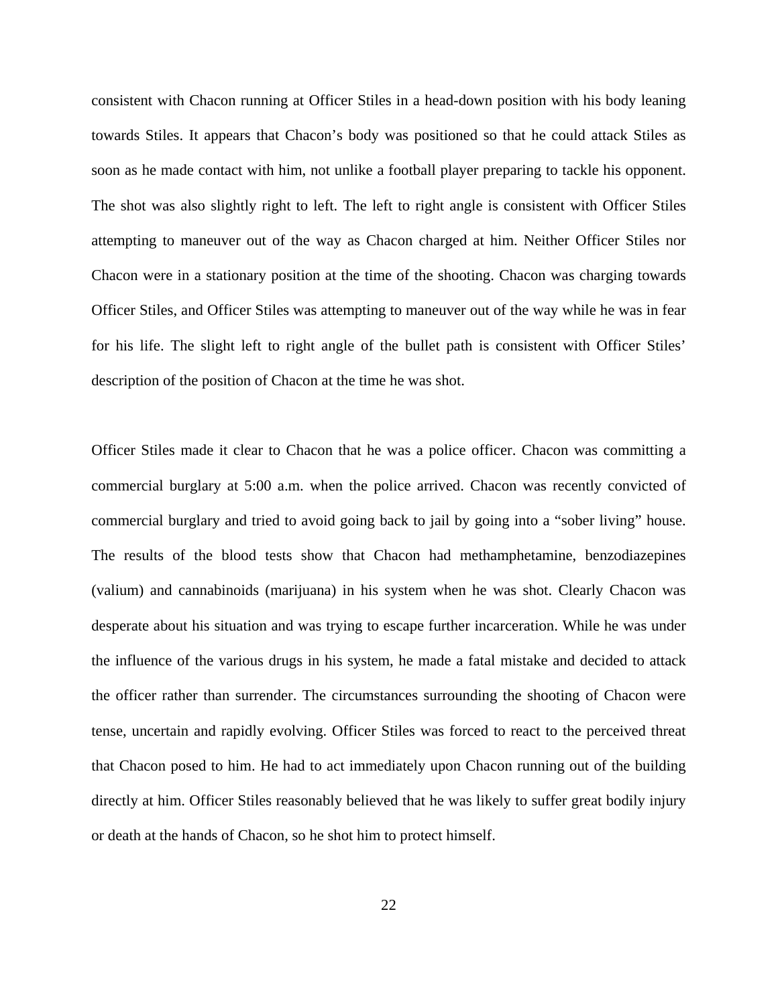consistent with Chacon running at Officer Stiles in a head-down position with his body leaning towards Stiles. It appears that Chacon's body was positioned so that he could attack Stiles as soon as he made contact with him, not unlike a football player preparing to tackle his opponent. The shot was also slightly right to left. The left to right angle is consistent with Officer Stiles attempting to maneuver out of the way as Chacon charged at him. Neither Officer Stiles nor Chacon were in a stationary position at the time of the shooting. Chacon was charging towards Officer Stiles, and Officer Stiles was attempting to maneuver out of the way while he was in fear for his life. The slight left to right angle of the bullet path is consistent with Officer Stiles' description of the position of Chacon at the time he was shot.

Officer Stiles made it clear to Chacon that he was a police officer. Chacon was committing a commercial burglary at 5:00 a.m. when the police arrived. Chacon was recently convicted of commercial burglary and tried to avoid going back to jail by going into a "sober living" house. The results of the blood tests show that Chacon had methamphetamine, benzodiazepines (valium) and cannabinoids (marijuana) in his system when he was shot. Clearly Chacon was desperate about his situation and was trying to escape further incarceration. While he was under the influence of the various drugs in his system, he made a fatal mistake and decided to attack the officer rather than surrender. The circumstances surrounding the shooting of Chacon were tense, uncertain and rapidly evolving. Officer Stiles was forced to react to the perceived threat that Chacon posed to him. He had to act immediately upon Chacon running out of the building directly at him. Officer Stiles reasonably believed that he was likely to suffer great bodily injury or death at the hands of Chacon, so he shot him to protect himself.